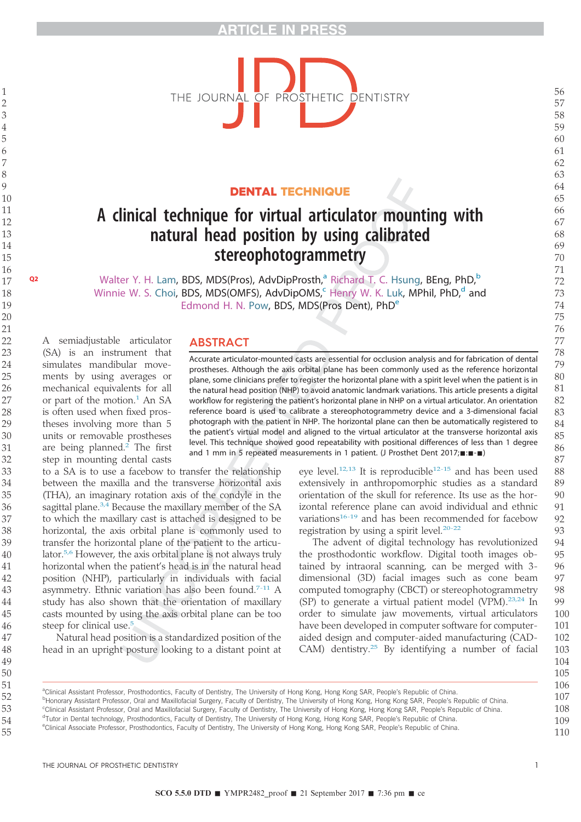

### DENTAL TECHNIQUE

# A clinical technique for virtual articulator mounting with natural head position by using calibrated stereophotogrammetry

**Q2** Walter Y. H. Lam, BDS, MDS(Pros), AdvDipProsth,<sup>a</sup> Richard T. C. Hsung, BEng, PhD,<sup>b</sup> Winnie W. S. Choi, BDS, MDS(OMFS), AdvDipOMS, Henry W. K. Luk, MPhil, PhD, $<sup>d</sup>$  and</sup> Edmond H. N. Pow, BDS, MDS(Pros Dent), PhD<sup>e</sup>

ABSTRACT

#### Accurate articulator-mounted casts are essential for occlusion analysis and for fabrication of dental prostheses. Although the axis orbital plane has been commonly used as the reference horizontal plane, some clinicians prefer to register the horizontal plane with a spirit level when the patient is in the natural head position (NHP) to avoid anatomic landmark variations. This article presents a digital workflow for registering the patient's horizontal plane in NHP on a virtual articulator. An orientation reference board is used to calibrate a stereophotogrammetry device and a 3-dimensional facial photograph with the patient in NHP. The horizontal plane can then be automatically registered to the patient's virtual model and aligned to the virtual articulator at the transverse horizontal axis level. This technique showed good repeatability with positional differences of less than 1 degree and 1 mm in 5 repeated measurements in 1 patient. (J Prosthet Dent 2017; :: -

ments by using averages or mechanical equivalents for all or part of the motion.<sup>1</sup> An SA is often used when fixed prostheses involving more than 5 units or removable prostheses are being planned. The first step in mounting dental casts to a SA is to use a facebow to transfer the relationship between the maxilla and the transverse horizontal axis (THA), an imaginary rotation axis of the condyle in the sagittal plane.<sup>3,4</sup> Because the maxillary member of the SA to which the maxillary cast is attached is designed to be horizontal, the axis orbital plane is commonly used to transfer the horizontal plane of the patient to the articu-

lator.5,6 However, the axis orbital plane is not always truly horizontal when the patient's head is in the natural head position (NHP), particularly in individuals with facial asymmetry. Ethnic variation has also been found. $7-11$  A study has also shown that the orientation of maxillary casts mounted by using the axis orbital plane can be too

Natural head position is a standardized position of the head in an upright posture looking to a distant point at

A semiadjustable articulator (SA) is an instrument that simulates mandibular move-

> eye level.<sup>12,13</sup> It is reproducible<sup>12-15</sup> and has been used extensively in anthropomorphic studies as a standard orientation of the skull for reference. Its use as the horizontal reference plane can avoid individual and ethnic variations<sup>16-19</sup> and has been recommended for facebow registration by using a spirit level.<sup>20-22</sup>

The advent of digital technology has revolutionized the prosthodontic workflow. Digital tooth images obtained by intraoral scanning, can be merged with 3 dimensional (3D) facial images such as cone beam computed tomography (CBCT) or stereophotogrammetry (SP) to generate a virtual patient model (VPM).23,24 In order to simulate jaw movements, virtual articulators have been developed in computer software for computeraided design and computer-aided manufacturing (CAD-CAM) dentistry.<sup>25</sup> By identifying a number of facial

a Clinical Assistant Professor, Prosthodontics, Faculty of Dentistry, The University of Hong Kong, Hong Kong SAR, People's Republic of China. b<br>Honorary Assistant Professor, Oral and Maxillofacial Surgery, Faculty of Dentistry, The University of Hong Kong, Hong Kong SAR, People's Republic of China. c Clinical Assistant Professor, Oral and Maxillofacial Surgery, Faculty of Dentistry, The University of Hong Kong, Hong Kong SAR, People's Republic of China. <sup>d</sup>Tutor in Dental technology, Prosthodontics, Faculty of Dentistry, The University of Hong Kong, Hong Kong SAR, People's Republic of China. eclinical Associate Professor, Prosthodontics, Faculty of Dentistry, The University of Hong Kong, Hong Kong SAR, People's Republic of China. 

THE JOURNAL OF PROSTHETIC DENTISTRY 1

steep for clinical use.<sup>5</sup>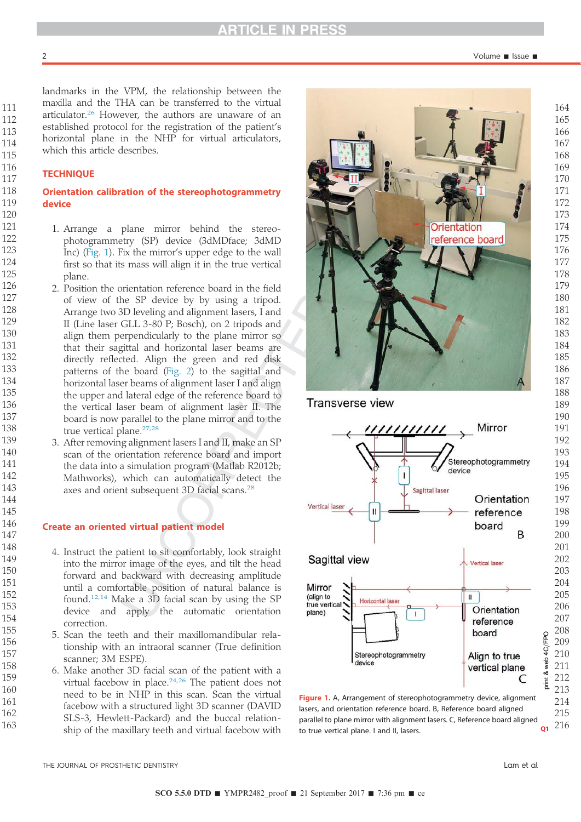Volume - Issue -

landmarks in the VPM, the relationship between the maxilla and the THA can be transferred to the virtual articulator.<sup>26</sup> However, the authors are unaware of an established protocol for the registration of the patient's horizontal plane in the NHP for virtual articulators, which this article describes.

#### **TECHNIQUE**

#### Orientation calibration of the stereophotogrammetry device

- 1. Arrange a plane mirror behind the stereophotogrammetry (SP) device (3dMDface; 3dMD Inc) (Fig. 1). Fix the mirror's upper edge to the wall first so that its mass will align it in the true vertical plane.
- 2. Position the orientation reference board in the field of view of the SP device by by using a tripod. Arrange two 3D leveling and alignment lasers, I and II (Line laser GLL 3-80 P; Bosch), on 2 tripods and align them perpendicularly to the plane mirror so that their sagittal and horizontal laser beams are directly reflected. Align the green and red disk patterns of the board (Fig. 2) to the sagittal and horizontal laser beams of alignment laser I and align the upper and lateral edge of the reference board to the vertical laser beam of alignment laser II. The board is now parallel to the plane mirror and to the true vertical plane.<sup>27,28</sup>
	- 3. After removing alignment lasers I and II, make an SP scan of the orientation reference board and import the data into a simulation program (Matlab R2012b; Mathworks), which can automatically detect the axes and orient subsequent 3D facial scans.<sup>28</sup>

#### Create an oriented virtual patient model

- 4. Instruct the patient to sit comfortably, look straight into the mirror image of the eyes, and tilt the head forward and backward with decreasing amplitude until a comfortable position of natural balance is found.<sup>12,14</sup> Make a 3D facial scan by using the SP device and apply the automatic orientation correction.
- 5. Scan the teeth and their maxillomandibular relationship with an intraoral scanner (True definition scanner; 3M ESPE).
- 6. Make another 3D facial scan of the patient with a virtual facebow in place. $24,26$  The patient does not need to be in NHP in this scan. Scan the virtual facebow with a structured light 3D scanner (DAVID SLS-3, Hewlett-Packard) and the buccal relationship of the maxillary teeth and virtual facebow with



Figure 1. A, Arrangement of stereophotogrammetry device, alignment lasers, and orientation reference board. B, Reference board aligned parallel to plane mirror with alignment lasers. C, Reference board aligned to true vertical plane. I and II, lasers.  $Q1$ 

THE JOURNAL OF PROSTHETIC DENTISTRY Lam et al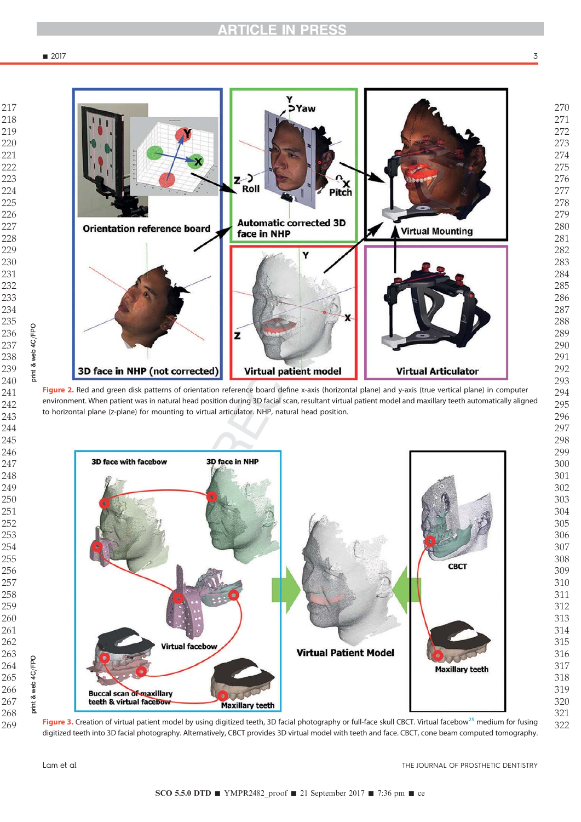

Figure 2. Red and green disk patterns of orientation reference board define x-axis (horizontal plane) and y-axis (true vertical plane) in computer environment. When patient was in natural head position during 3D facial scan, resultant virtual patient model and maxillary teeth automatically aligned to horizontal plane (z-plane) for mounting to virtual articulator. NHP, natural head position.



Figure 3. Creation of virtual patient model by using digitized teeth, 3D facial photography or full-face skull CBCT. Virtual facebow<sup>25</sup> medium for fusing digitized teeth into 3D facial photography. Alternatively, CBCT provides 3D virtual model with teeth and face. CBCT, cone beam computed tomography.

print & web 4C/FPO

print &

web 4C/FPO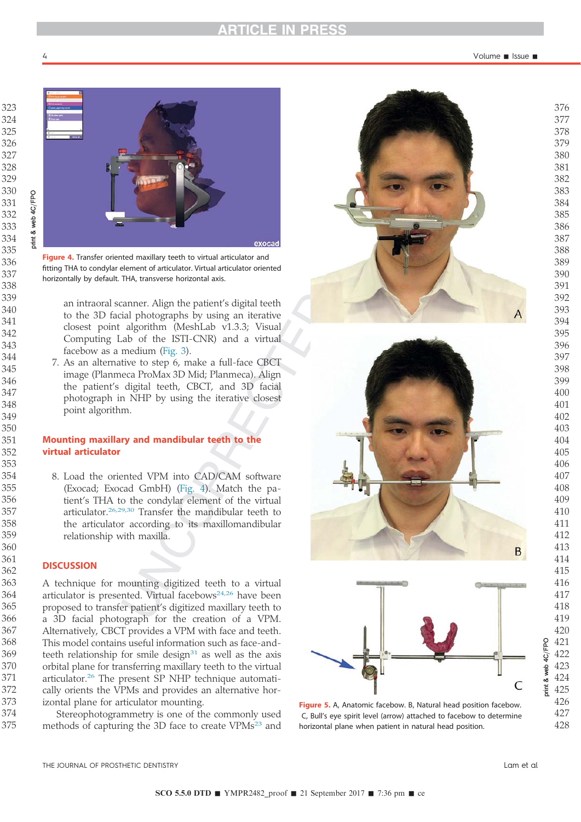

Figure 4. Transfer oriented maxillary teeth to virtual articulator and fitting THA to condylar element of articulator. Virtual articulator oriented horizontally by default. THA, transverse horizontal axis.

an intraoral scanner. Align the patient's digital teeth to the 3D facial photographs by using an iterative closest point algorithm (MeshLab v1.3.3; Visual Computing Lab of the ISTI-CNR) and a virtual facebow as a medium (Fig. 3).

7. As an alternative to step 6, make a full-face CBCT image (Planmeca ProMax 3D Mid; Planmeca). Align the patient's digital teeth, CBCT, and 3D facial photograph in NHP by using the iterative closest point algorithm.

### Mounting maxillary and mandibular teeth to the virtual articulator

8. Load the oriented VPM into CAD/CAM software (Exocad; Exocad GmbH) (Fig. 4). Match the patient's THA to the condylar element of the virtual articulator.26,29,30 Transfer the mandibular teeth to the articulator according to its maxillomandibular relationship with maxilla.

#### **DISCUSSION**

A technique for mounting digitized teeth to a virtual articulator is presented. Virtual facebows<sup>24,26</sup> have been proposed to transfer patient's digitized maxillary teeth to a 3D facial photograph for the creation of a VPM. Alternatively, CBCT provides a VPM with face and teeth. This model contains useful information such as face-andteeth relationship for smile design as well as the axis orbital plane for transferring maxillary teeth to the virtual articulator.<sup>26</sup> The present SP NHP technique automatically orients the VPMs and provides an alternative horizontal plane for articulator mounting.

Stereophotogrammetry is one of the commonly used methods of capturing the 3D face to create VPMs<sup>23</sup> and







Figure 5. A, Anatomic facebow. B, Natural head position facebow. C, Bull's eye spirit level (arrow) attached to facebow to determine horizontal plane when patient in natural head position.

THE JOURNAL OF PROSTHETIC DENTISTRY Lam et al

B

print & web 4C/FPO

& web

**Tint** 

4C/FPO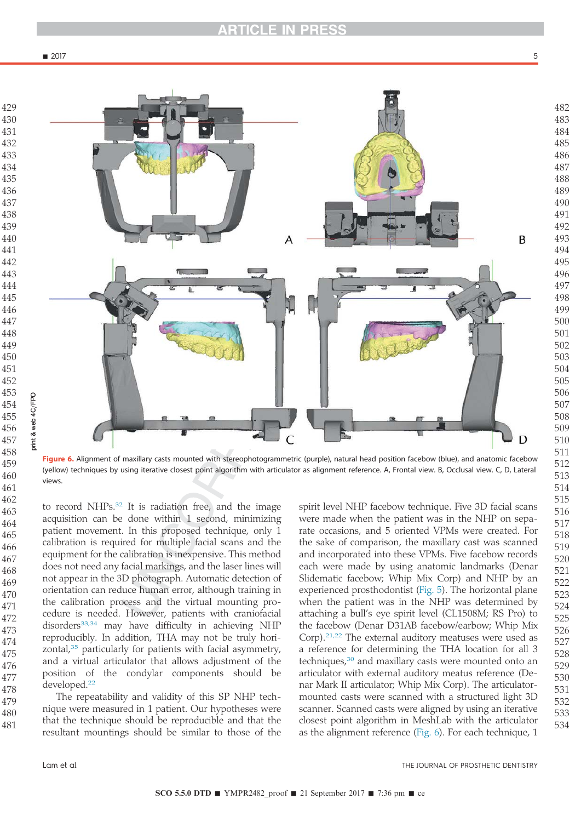

to record NHPs.<sup>32</sup> It is radiation free, and the image acquisition can be done within 1 second, minimizing patient movement. In this proposed technique, only 1 calibration is required for multiple facial scans and the equipment for the calibration is inexpensive. This method does not need any facial markings, and the laser lines will not appear in the 3D photograph. Automatic detection of orientation can reduce human error, although training in the calibration process and the virtual mounting procedure is needed. However, patients with craniofacial disorders<sup>33,34</sup> may have difficulty in achieving NHP reproducibly. In addition, THA may not be truly horizontal,<sup>35</sup> particularly for patients with facial asymmetry, and a virtual articulator that allows adjustment of the position of the condylar components should be The repeatability and validity of this SP NHP technique were measured in 1 patient. Our hypotheses were that the technique should be reproducible and that the (yellow) techniques by using iterative closest point algorithm with articulator as alignment reference. A, Frontal view. B, Occlusal view. C, D, Lateral

resultant mountings should be similar to those of the

spirit level NHP facebow technique. Five 3D facial scans were made when the patient was in the NHP on separate occasions, and 5 oriented VPMs were created. For the sake of comparison, the maxillary cast was scanned and incorporated into these VPMs. Five facebow records each were made by using anatomic landmarks (Denar Slidematic facebow; Whip Mix Corp) and NHP by an experienced prosthodontist (Fig. 5). The horizontal plane when the patient was in the NHP was determined by attaching a bull's eye spirit level (CL1508M; RS Pro) to the facebow (Denar D31AB facebow/earbow; Whip Mix Corp).21,22 The external auditory meatuses were used as a reference for determining the THA location for all 3 techniques,<sup>30</sup> and maxillary casts were mounted onto an articulator with external auditory meatus reference (Denar Mark II articulator; Whip Mix Corp). The articulatormounted casts were scanned with a structured light 3D scanner. Scanned casts were aligned by using an iterative closest point algorithm in MeshLab with the articulator as the alignment reference (Fig. 6). For each technique, 1

B

Ð

developed.<sup>22</sup>

views.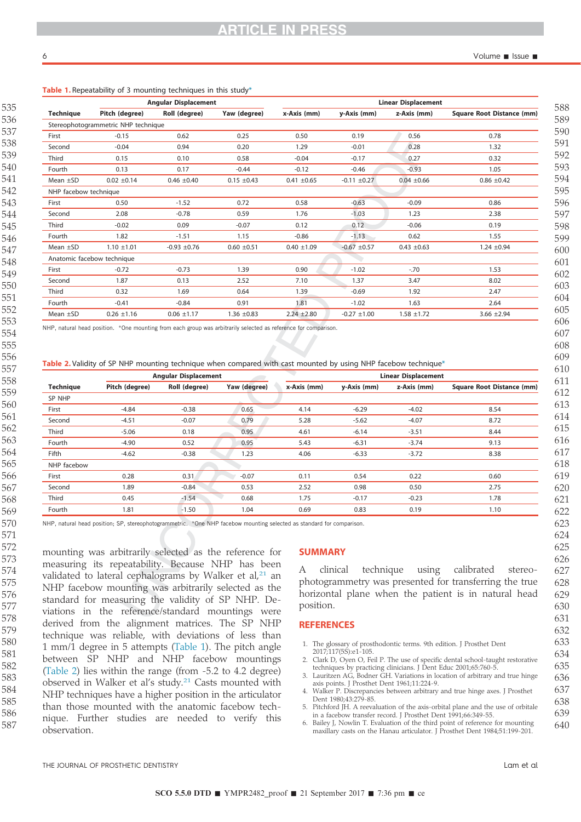| 535                           |  |
|-------------------------------|--|
| 536                           |  |
| 537                           |  |
| 38<br>5                       |  |
| 39<br>5                       |  |
| 5<br>40                       |  |
|                               |  |
| 41<br>5                       |  |
| 42<br>5                       |  |
| 5<br>43                       |  |
| 5<br>44                       |  |
| 545                           |  |
| 5<br>46                       |  |
| 547                           |  |
| 548                           |  |
| 549                           |  |
| 550                           |  |
| 551                           |  |
| 552                           |  |
|                               |  |
| 553                           |  |
| 554                           |  |
| 555                           |  |
| 556                           |  |
| 557                           |  |
| 558                           |  |
| 559                           |  |
| 560                           |  |
| 561                           |  |
| 562                           |  |
| 563                           |  |
| 564                           |  |
| 565                           |  |
| 566                           |  |
|                               |  |
| 567                           |  |
| 568                           |  |
| 569                           |  |
| 570                           |  |
| ļ<br>$\overline{)}$<br>ľ<br>l |  |
| 57<br>2                       |  |
| 57<br>3                       |  |
| 574                           |  |
| 57<br>5                       |  |
| 576                           |  |
| 57                            |  |
| 578                           |  |
| 579                           |  |
| 580                           |  |
| 581                           |  |
|                               |  |
| 582                           |  |
| 583                           |  |
| 584                           |  |
| 585                           |  |
| 586                           |  |
| 587                           |  |
|                               |  |

### Table 1. Repeatability of 3 mounting techniques in this study\*

|                       | <b>Angular Displacement</b>         |                  |                 | <b>Linear Displacement</b> |                  |                 |                                  |
|-----------------------|-------------------------------------|------------------|-----------------|----------------------------|------------------|-----------------|----------------------------------|
| <b>Technique</b>      | Pitch (degree)                      | Roll (degree)    | Yaw (degree)    | x-Axis (mm)                | y-Axis (mm)      | z-Axis (mm)     | <b>Square Root Distance (mm)</b> |
|                       | Stereophotogrammetric NHP technique |                  |                 |                            |                  |                 |                                  |
| First                 | $-0.15$                             | 0.62             | 0.25            | 0.50                       | 0.19             | 0.56            | 0.78                             |
| Second                | $-0.04$                             | 0.94             | 0.20            | 1.29                       | $-0.01$          | 0.28            | 1.32                             |
| Third                 | 0.15                                | 0.10             | 0.58            | $-0.04$                    | $-0.17$          | 0.27            | 0.32                             |
| Fourth                | 0.13                                | 0.17             | $-0.44$         | $-0.12$                    | $-0.46$          | $-0.93$         | 1.05                             |
| Mean $\pm$ SD         | $0.02 \pm 0.14$                     | $0.46 \pm 0.40$  | $0.15 \pm 0.43$ | $0.41 \pm 0.65$            | $-0.11 \pm 0.27$ | $0.04 \pm 0.66$ | $0.86 \pm 0.42$                  |
| NHP facebow technique |                                     |                  |                 |                            |                  |                 |                                  |
| First                 | 0.50                                | $-1.52$          | 0.72            | 0.58                       | $-0.63$          | $-0.09$         | 0.86                             |
| Second                | 2.08                                | $-0.78$          | 0.59            | 1.76                       | $-1.03$          | 1.23            | 2.38                             |
| Third                 | $-0.02$                             | 0.09             | $-0.07$         | 0.12                       | 0.12             | $-0.06$         | 0.19                             |
| Fourth                | 1.82                                | $-1.51$          | 1.15            | $-0.86$                    | $-1.13$          | 0.62            | 1.55                             |
| Mean $\pm$ SD         | $1.10 \pm 1.01$                     | $-0.93 \pm 0.76$ | $0.60 \pm 0.51$ | $0.40 \pm 1.09$            | $-0.67 + 0.57$   | $0.43 \pm 0.63$ | $1.24 \pm 0.94$                  |
|                       | Anatomic facebow technique          |                  |                 |                            |                  |                 |                                  |
| First                 | $-0.72$                             | $-0.73$          | 1.39            | 0.90                       | $-1.02$          | $-70$           | 1.53                             |
| Second                | 1.87                                | 0.13             | 2.52            | 7.10                       | 1.37             | 3.47            | 8.02                             |
| Third                 | 0.32                                | 1.69             | 0.64            | 1.39                       | $-0.69$          | 1.92            | 2.47                             |
| Fourth                | $-0.41$                             | $-0.84$          | 0.91            | 1.81                       | $-1.02$          | 1.63            | 2.64                             |
| Mean $\pm$ SD         | $0.26 \pm 1.16$                     | $0.06 \pm 1.17$  | $1.36 \pm 0.83$ | $2.24 \pm 2.80$            | $-0.27 \pm 1.00$ | $1.58 \pm 1.72$ | $3.66 \pm 2.94$                  |

NHP, natural head position. \*One mounting from each group was arbitrarily selected as reference for comparison.

Table 2. Validity of SP NHP mounting technique when compared with cast mounted by using NHP facebow technique\*

| <b>Technique</b> | <b>Angular Displacement</b> |               |              | <b>Linear Displacement</b> |             |             |                                  |  |
|------------------|-----------------------------|---------------|--------------|----------------------------|-------------|-------------|----------------------------------|--|
|                  | Pitch (degree)              | Roll (degree) | Yaw (degree) | x-Axis (mm)                | y-Axis (mm) | z-Axis (mm) | <b>Square Root Distance (mm)</b> |  |
| SP NHP           |                             |               |              |                            |             |             |                                  |  |
| First            | $-4.84$                     | $-0.38$       | 0.65         | 4.14                       | $-6.29$     | $-4.02$     | 8.54                             |  |
| Second           | $-4.51$                     | $-0.07$       | 0.79         | 5.28                       | $-5.62$     | $-4.07$     | 8.72                             |  |
| Third            | $-5.06$                     | 0.18          | 0.95         | 4.61                       | $-6.14$     | $-3.51$     | 8.44                             |  |
| Fourth           | $-4.90$                     | 0.52          | 0.95         | 5.43                       | $-6.31$     | $-3.74$     | 9.13                             |  |
| Fifth            | $-4.62$                     | $-0.38$       | 1.23         | 4.06                       | $-6.33$     | $-3.72$     | 8.38                             |  |
| NHP facebow      |                             |               |              |                            |             |             |                                  |  |
| First            | 0.28                        | 0.31          | $-0.07$      | 0.11                       | 0.54        | 0.22        | 0.60                             |  |
| Second           | 1.89                        | $-0.84$       | 0.53         | 2.52                       | 0.98        | 0.50        | 2.75                             |  |
| Third            | 0.45                        | $-1.54$       | 0.68         | 1.75                       | $-0.17$     | $-0.23$     | 1.78                             |  |
| Fourth           | 1.81                        | $-1.50$       | 1.04         | 0.69                       | 0.83        | 0.19        | 1.10                             |  |

NHP, natural head position; SP, stereophotogrammetric. \*One NHP facebow mounting selected as standard for comparison.

mounting was arbitrarily selected as the reference for measuring its repeatability. Because NHP has been validated to lateral cephalograms by Walker et al, $21$  an NHP facebow mounting was arbitrarily selected as the standard for measuring the validity of SP NHP. Deviations in the reference/standard mountings were derived from the alignment matrices. The SP NHP technique was reliable, with deviations of less than 1 mm/1 degree in 5 attempts (Table 1). The pitch angle between SP NHP and NHP facebow mountings (Table 2) lies within the range (from -5.2 to 4.2 degree) observed in Walker et al's study.<sup>21</sup> Casts mounted with NHP techniques have a higher position in the articulator than those mounted with the anatomic facebow technique. Further studies are needed to verify this observation.

## SUMMARY

A clinical technique using calibrated stereophotogrammetry was presented for transferring the true horizontal plane when the patient is in natural head position.

#### **REFERENCES**

- 1. The glossary of prosthodontic terms. 9th edition. J Prosthet Dent 2017;117(5S):e1-105.
- 2. Clark D, Oyen O, Feil P. The use of specific dental school-taught restorative techniques by practicing clinicians. J Dent Educ 2001;65:760-5
- 3. Lauritzen AG, Bodner GH. Variations in location of arbitrary and true hinge axis points. J Prosthet Dent 1961;11:224-9.
- 4. Walker P. Discrepancies between arbitrary and true hinge axes. J Prosthet Dent 1980;43:279-85.
- 5. Pitchford JH. A reevaluation of the axis-orbital plane and the use of orbitale in a facebow transfer record. J Prosthet Dent 1991;66:349-55.
- 6. Bailey J, Nowlin T. Evaluation of the third point of reference for mounting maxillary casts on the Hanau articulator. J Prosthet Dent 1984;51:199-201.